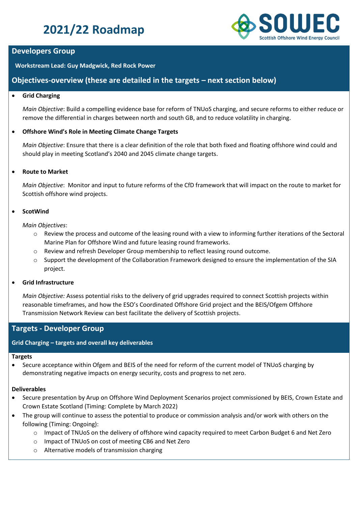# **2021/22 Roadmap**



# **Developers Group**

**Workstream Lead: Guy Madgwick, Red Rock Power**

# **Objectives-overview (these are detailed in the targets – next section below)**

# • **Grid Charging**

*Main Objective*: Build a compelling evidence base for reform of TNUoS charging, and secure reforms to either reduce or remove the differential in charges between north and south GB, and to reduce volatility in charging.

# • **Offshore Wind's Role in Meeting Climate Change Targets**

*Main Objective*: Ensure that there is a clear definition of the role that both fixed and floating offshore wind could and should play in meeting Scotland's 2040 and 2045 climate change targets.

# • **Route to Market**

*Main Objective*: Monitor and input to future reforms of the CfD framework that will impact on the route to market for Scottish offshore wind projects.

# • **ScotWind**

*Main Objectives*:

- o Review the process and outcome of the leasing round with a view to informing further iterations of the Sectoral Marine Plan for Offshore Wind and future leasing round frameworks.
- o Review and refresh Developer Group membership to reflect leasing round outcome.
- o Support the development of the Collaboration Framework designed to ensure the implementation of the SIA project.

# • **Grid Infrastructure**

*Main Objective:* Assess potential risks to the delivery of grid upgrades required to connect Scottish projects within reasonable timeframes, and how the ESO's Coordinated Offshore Grid project and the BEIS/Ofgem Offshore Transmission Network Review can best facilitate the delivery of Scottish projects.

# **Targets - Developer Group**

# **Grid Charging – targets and overall key deliverables**

#### **Targets**

• Secure acceptance within Ofgem and BEIS of the need for reform of the current model of TNUoS charging by demonstrating negative impacts on energy security, costs and progress to net zero.

#### **Deliverables**

- Secure presentation by Arup on Offshore Wind Deployment Scenarios project commissioned by BEIS, Crown Estate and Crown Estate Scotland (Timing: Complete by March 2022)
- The group will continue to assess the potential to produce or commission analysis and/or work with others on the following (Timing: Ongoing):
	- o Impact of TNUoS on the delivery of offshore wind capacity required to meet Carbon Budget 6 and Net Zero
	- o Impact of TNUoS on cost of meeting CB6 and Net Zero
	- o Alternative models of transmission charging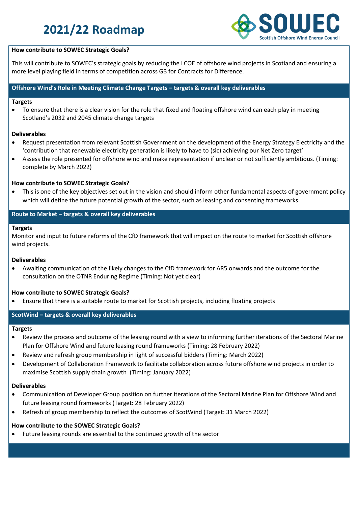# **2021/22 Roadmap**



### **How contribute to SOWEC Strategic Goals?**

This will contribute to SOWEC's strategic goals by reducing the LCOE of offshore wind projects in Scotland and ensuring a more level playing field in terms of competition across GB for Contracts for Difference.

### **Offshore Wind's Role in Meeting Climate Change Targets – targets & overall key deliverables**

#### **Targets**

• To ensure that there is a clear vision for the role that fixed and floating offshore wind can each play in meeting Scotland's 2032 and 2045 climate change targets

#### **Deliverables**

- Request presentation from relevant Scottish Government on the development of the Energy Strategy Electricity and the 'contribution that renewable electricity generation is likely to have to (sic) achieving our Net Zero target'
- Assess the role presented for offshore wind and make representation if unclear or not sufficiently ambitious. (Timing: complete by March 2022)

#### **How contribute to SOWEC Strategic Goals?**

• This is one of the key objectives set out in the vision and should inform other fundamental aspects of government policy which will define the future potential growth of the sector, such as leasing and consenting frameworks.

### **Route to Market – targets & overall key deliverables**

#### **Targets**

Monitor and input to future reforms of the CfD framework that will impact on the route to market for Scottish offshore wind projects.

#### **Deliverables**

• Awaiting communication of the likely changes to the CfD framework for AR5 onwards and the outcome for the consultation on the OTNR Enduring Regime (Timing: Not yet clear)

#### **How contribute to SOWEC Strategic Goals?**

• Ensure that there is a suitable route to market for Scottish projects, including floating projects

# **ScotWind – targets & overall key deliverables**

#### **Targets**

- Review the process and outcome of the leasing round with a view to informing further iterations of the Sectoral Marine Plan for Offshore Wind and future leasing round frameworks (Timing: 28 February 2022)
- Review and refresh group membership in light of successful bidders (Timing: March 2022)
- Development of Collaboration Framework to facilitate collaboration across future offshore wind projects in order to maximise Scottish supply chain growth (Timing: January 2022)

#### **Deliverables**

- Communication of Developer Group position on further iterations of the Sectoral Marine Plan for Offshore Wind and future leasing round frameworks (Target: 28 February 2022)
- Refresh of group membership to reflect the outcomes of ScotWind (Target: 31 March 2022)

#### **How contribute to the SOWEC Strategic Goals?**

• Future leasing rounds are essential to the continued growth of the sector